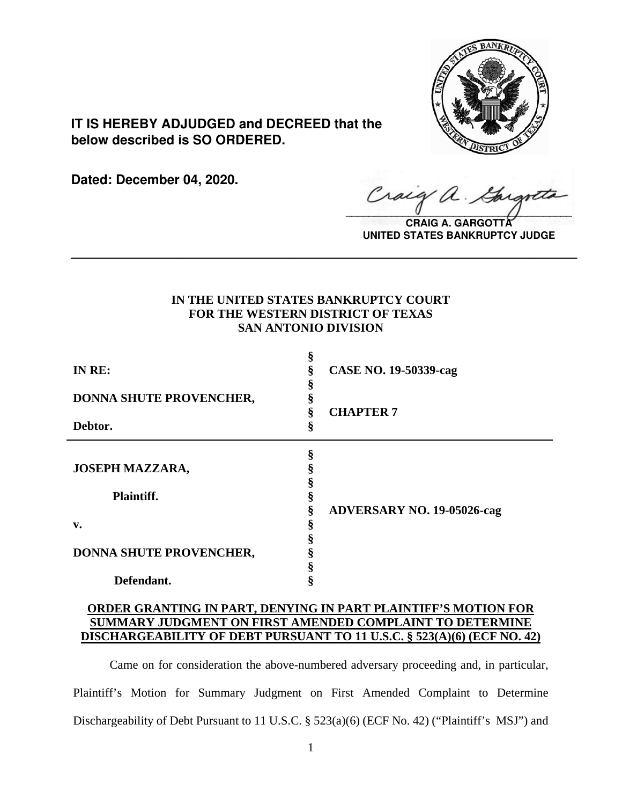

**IT IS HEREBY ADJUDGED and DECREED that the below described is SO ORDERED.**

**Dated: December 04, 2020.**

 $\sqrt{2}$ 

**CRAIG A. GARGOTT UNITED STATES BANKRUPTCY JUDGE**

# **IN THE UNITED STATES BANKRUPTCY COURT FOR THE WESTERN DISTRICT OF TEXAS SAN ANTONIO DIVISION**

**\_\_\_\_\_\_\_\_\_\_\_\_\_\_\_\_\_\_\_\_\_\_\_\_\_\_\_\_\_\_\_\_\_\_\_\_\_\_\_\_\_\_\_\_\_\_\_\_\_\_\_\_\_\_\_\_\_\_\_\_\_\_\_\_**

| IN RE:                  | ş<br><b>CASE NO. 19-50339-cag</b><br>§ |  |
|-------------------------|----------------------------------------|--|
| DONNA SHUTE PROVENCHER, | <b>CHAPTER 7</b>                       |  |
| Debtor.                 | §                                      |  |
| <b>JOSEPH MAZZARA,</b>  | §                                      |  |
| Plaintiff.              |                                        |  |
| v.                      | §<br><b>ADVERSARY NO. 19-05026-cag</b> |  |
| DONNA SHUTE PROVENCHER, |                                        |  |
| Defendant.              |                                        |  |

# **ORDER GRANTING IN PART, DENYING IN PART PLAINTIFF'S MOTION FOR SUMMARY JUDGMENT ON FIRST AMENDED COMPLAINT TO DETERMINE DISCHARGEABILITY OF DEBT PURSUANT TO 11 U.S.C. § 523(A)(6) (ECF NO. 42)**

Came on for consideration the above-numbered adversary proceeding and, in particular, Plaintiff's Motion for Summary Judgment on First Amended Complaint to Determine Dischargeability of Debt Pursuant to 11 U.S.C. § 523(a)(6) (ECF No. 42) ("Plaintiff's MSJ") and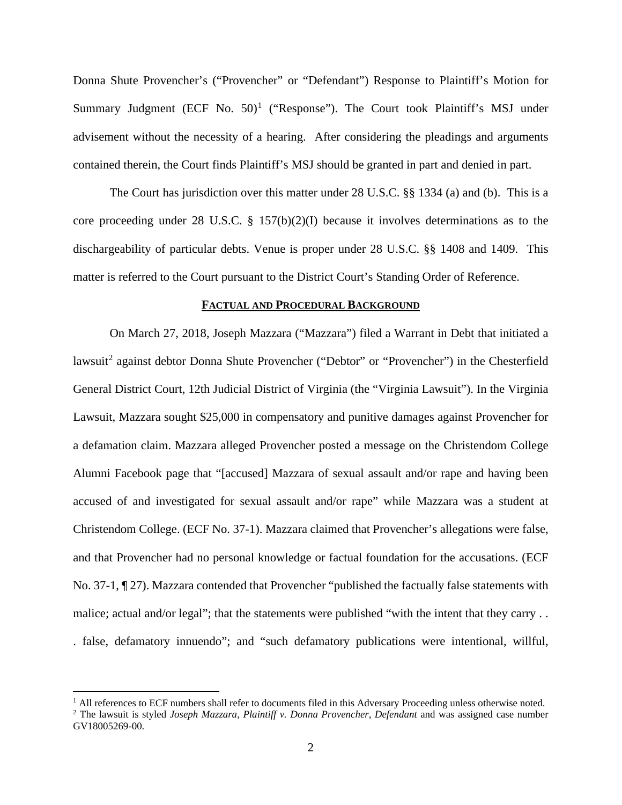Donna Shute Provencher's ("Provencher" or "Defendant") Response to Plaintiff's Motion for Summary Judgment  $(ECF No. 50)^1$  $(ECF No. 50)^1$  ("Response"). The Court took Plaintiff's MSJ under advisement without the necessity of a hearing. After considering the pleadings and arguments contained therein, the Court finds Plaintiff's MSJ should be granted in part and denied in part.

The Court has jurisdiction over this matter under 28 U.S.C. §§ 1334 (a) and (b). This is a core proceeding under 28 U.S.C. § 157(b)(2)(I) because it involves determinations as to the dischargeability of particular debts. Venue is proper under 28 U.S.C. §§ 1408 and 1409. This matter is referred to the Court pursuant to the District Court's Standing Order of Reference.

#### **FACTUAL AND PROCEDURAL BACKGROUND**

On March 27, 2018, Joseph Mazzara ("Mazzara") filed a Warrant in Debt that initiated a lawsuit<sup>[2](#page-1-1)</sup> against debtor Donna Shute Provencher ("Debtor" or "Provencher") in the Chesterfield General District Court, 12th Judicial District of Virginia (the "Virginia Lawsuit"). In the Virginia Lawsuit, Mazzara sought \$25,000 in compensatory and punitive damages against Provencher for a defamation claim. Mazzara alleged Provencher posted a message on the Christendom College Alumni Facebook page that "[accused] Mazzara of sexual assault and/or rape and having been accused of and investigated for sexual assault and/or rape" while Mazzara was a student at Christendom College. (ECF No. 37-1). Mazzara claimed that Provencher's allegations were false, and that Provencher had no personal knowledge or factual foundation for the accusations. (ECF No. 37-1, ¶ 27). Mazzara contended that Provencher "published the factually false statements with malice; actual and/or legal"; that the statements were published "with the intent that they carry . . . false, defamatory innuendo"; and "such defamatory publications were intentional, willful,

<span id="page-1-0"></span> $<sup>1</sup>$  All references to ECF numbers shall refer to documents filed in this Adversary Proceeding unless otherwise noted.</sup>

<span id="page-1-1"></span><sup>2</sup> The lawsuit is styled *Joseph Mazzara, Plaintiff v. Donna Provencher, Defendant* and was assigned case number GV18005269-00.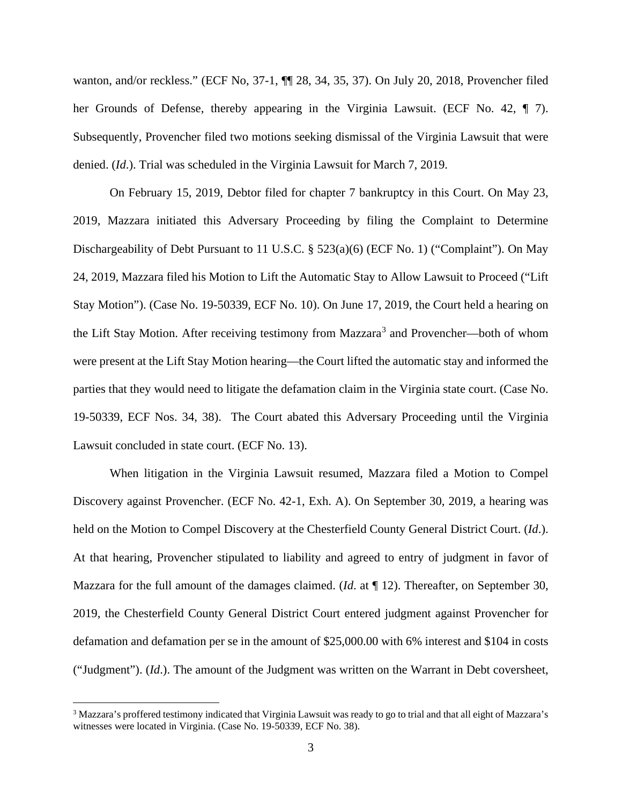wanton, and/or reckless." (ECF No, 37-1, ¶¶ 28, 34, 35, 37). On July 20, 2018, Provencher filed her Grounds of Defense, thereby appearing in the Virginia Lawsuit. (ECF No. 42, ¶ 7). Subsequently, Provencher filed two motions seeking dismissal of the Virginia Lawsuit that were denied. (*Id*.). Trial was scheduled in the Virginia Lawsuit for March 7, 2019.

On February 15, 2019, Debtor filed for chapter 7 bankruptcy in this Court. On May 23, 2019, Mazzara initiated this Adversary Proceeding by filing the Complaint to Determine Dischargeability of Debt Pursuant to 11 U.S.C.  $\S$  523(a)(6) (ECF No. 1) ("Complaint"). On May 24, 2019, Mazzara filed his Motion to Lift the Automatic Stay to Allow Lawsuit to Proceed ("Lift Stay Motion"). (Case No. 19-50339, ECF No. 10). On June 17, 2019, the Court held a hearing on the Lift Stay Motion. After receiving testimony from Mazzara<sup>[3](#page-2-0)</sup> and Provencher—both of whom were present at the Lift Stay Motion hearing—the Court lifted the automatic stay and informed the parties that they would need to litigate the defamation claim in the Virginia state court. (Case No. 19-50339, ECF Nos. 34, 38). The Court abated this Adversary Proceeding until the Virginia Lawsuit concluded in state court. (ECF No. 13).

When litigation in the Virginia Lawsuit resumed, Mazzara filed a Motion to Compel Discovery against Provencher. (ECF No. 42-1, Exh. A). On September 30, 2019, a hearing was held on the Motion to Compel Discovery at the Chesterfield County General District Court. (*Id*.). At that hearing, Provencher stipulated to liability and agreed to entry of judgment in favor of Mazzara for the full amount of the damages claimed. (*Id*. at ¶ 12). Thereafter, on September 30, 2019, the Chesterfield County General District Court entered judgment against Provencher for defamation and defamation per se in the amount of \$25,000.00 with 6% interest and \$104 in costs ("Judgment"). (*Id*.). The amount of the Judgment was written on the Warrant in Debt coversheet,

<span id="page-2-0"></span><sup>3</sup> Mazzara's proffered testimony indicated that Virginia Lawsuit was ready to go to trial and that all eight of Mazzara's witnesses were located in Virginia. (Case No. 19-50339, ECF No. 38).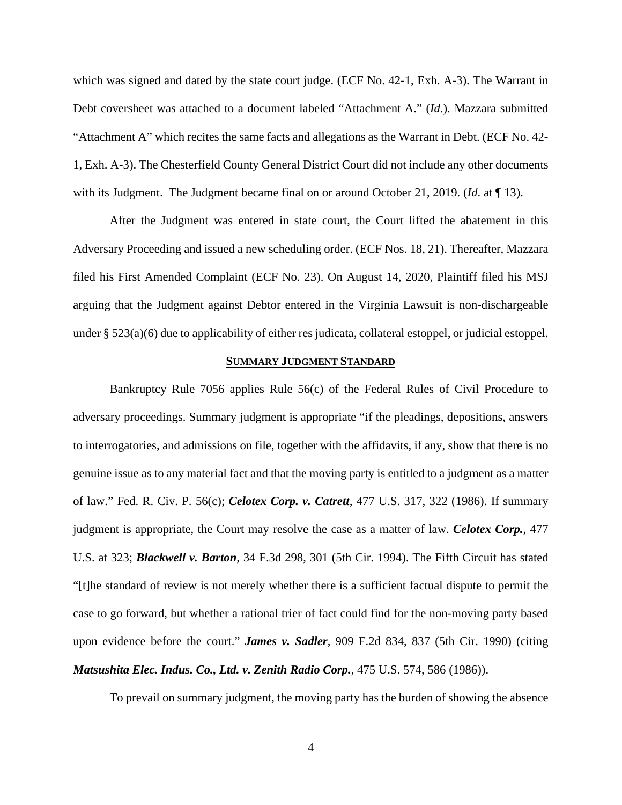which was signed and dated by the state court judge. (ECF No. 42-1, Exh. A-3). The Warrant in Debt coversheet was attached to a document labeled "Attachment A." (*Id*.). Mazzara submitted "Attachment A" which recites the same facts and allegations as the Warrant in Debt. (ECF No. 42- 1, Exh. A-3). The Chesterfield County General District Court did not include any other documents with its Judgment. The Judgment became final on or around October 21, 2019. (*Id*. at ¶ 13).

After the Judgment was entered in state court, the Court lifted the abatement in this Adversary Proceeding and issued a new scheduling order. (ECF Nos. 18, 21). Thereafter, Mazzara filed his First Amended Complaint (ECF No. 23). On August 14, 2020, Plaintiff filed his MSJ arguing that the Judgment against Debtor entered in the Virginia Lawsuit is non-dischargeable under § 523(a)(6) due to applicability of either res judicata, collateral estoppel, or judicial estoppel.

#### **SUMMARY JUDGMENT STANDARD**

Bankruptcy Rule 7056 applies Rule 56(c) of the Federal Rules of Civil Procedure to adversary proceedings. Summary judgment is appropriate "if the pleadings, depositions, answers to interrogatories, and admissions on file, together with the affidavits, if any, show that there is no genuine issue as to any material fact and that the moving party is entitled to a judgment as a matter of law." Fed. R. Civ. P. 56(c); *Celotex Corp. v. Catrett*, 477 U.S. 317, 322 (1986). If summary judgment is appropriate, the Court may resolve the case as a matter of law. *Celotex Corp.*, 477 U.S. at 323; *Blackwell v. Barton*, 34 F.3d 298, 301 (5th Cir. 1994). The Fifth Circuit has stated "[t]he standard of review is not merely whether there is a sufficient factual dispute to permit the case to go forward, but whether a rational trier of fact could find for the non-moving party based upon evidence before the court." *James v. Sadler*, 909 F.2d 834, 837 (5th Cir. 1990) (citing *Matsushita Elec. Indus. Co., Ltd. v. Zenith Radio Corp.*, 475 U.S. 574, 586 (1986)).

To prevail on summary judgment, the moving party has the burden of showing the absence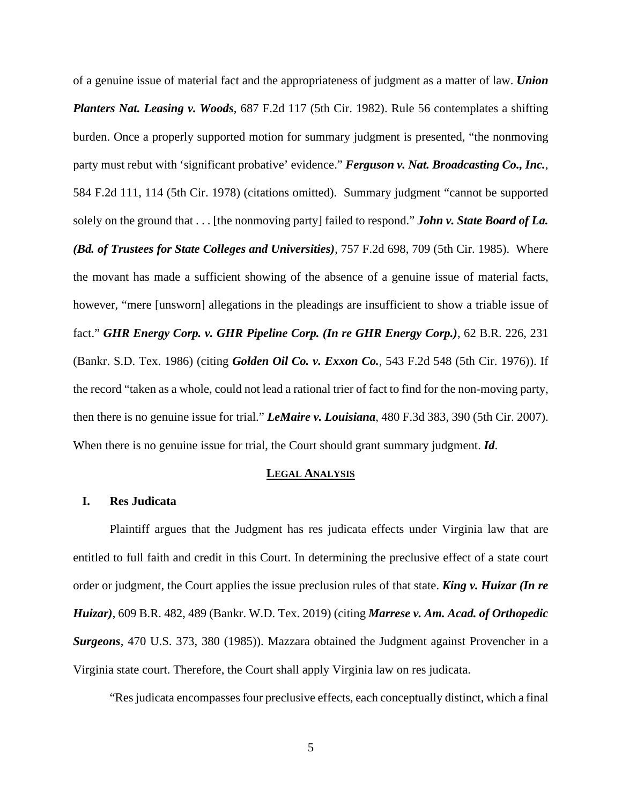of a genuine issue of material fact and the appropriateness of judgment as a matter of law. *Union Planters Nat. Leasing v. Woods*, 687 F.2d 117 (5th Cir. 1982). Rule 56 contemplates a shifting burden. Once a properly supported motion for summary judgment is presented, "the nonmoving party must rebut with 'significant probative' evidence." *Ferguson v. Nat. Broadcasting Co., Inc.*, 584 F.2d 111, 114 (5th Cir. 1978) (citations omitted). Summary judgment "cannot be supported solely on the ground that . . . [the nonmoving party] failed to respond." *John v. State Board of La. (Bd. of Trustees for State Colleges and Universities)*, 757 F.2d 698, 709 (5th Cir. 1985). Where the movant has made a sufficient showing of the absence of a genuine issue of material facts, however, "mere [unsworn] allegations in the pleadings are insufficient to show a triable issue of fact." *GHR Energy Corp. v. GHR Pipeline Corp. (In re GHR Energy Corp.)*, 62 B.R. 226, 231 (Bankr. S.D. Tex. 1986) (citing *Golden Oil Co. v. Exxon Co.*, 543 F.2d 548 (5th Cir. 1976)). If the record "taken as a whole, could not lead a rational trier of fact to find for the non-moving party, then there is no genuine issue for trial." *LeMaire v. Louisiana*, 480 F.3d 383, 390 (5th Cir. 2007). When there is no genuine issue for trial, the Court should grant summary judgment. *Id*.

### **LEGAL ANALYSIS**

### **I. Res Judicata**

Plaintiff argues that the Judgment has res judicata effects under Virginia law that are entitled to full faith and credit in this Court. In determining the preclusive effect of a state court order or judgment, the Court applies the issue preclusion rules of that state. *King v. Huizar (In re Huizar)*, 609 B.R. 482, 489 (Bankr. W.D. Tex. 2019) (citing *Marrese v. Am. Acad. of Orthopedic Surgeons*, 470 U.S. 373, 380 (1985)). Mazzara obtained the Judgment against Provencher in a Virginia state court. Therefore, the Court shall apply Virginia law on res judicata.

"Res judicata encompasses four preclusive effects, each conceptually distinct, which a final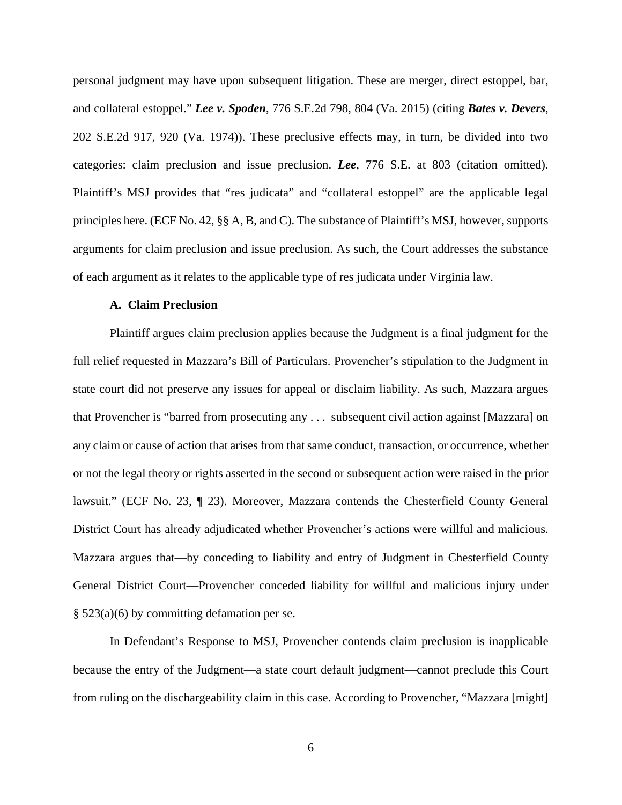personal judgment may have upon subsequent litigation. These are merger, direct estoppel, bar, and collateral estoppel." *Lee v. Spoden*, 776 S.E.2d 798, 804 (Va. 2015) (citing *Bates v. Devers*, 202 S.E.2d 917, 920 (Va. 1974)). These preclusive effects may, in turn, be divided into two categories: claim preclusion and issue preclusion. *Lee*, 776 S.E. at 803 (citation omitted). Plaintiff's MSJ provides that "res judicata" and "collateral estoppel" are the applicable legal principles here. (ECF No. 42, §§ A, B, and C). The substance of Plaintiff's MSJ, however, supports arguments for claim preclusion and issue preclusion. As such, the Court addresses the substance of each argument as it relates to the applicable type of res judicata under Virginia law.

## **A. Claim Preclusion**

Plaintiff argues claim preclusion applies because the Judgment is a final judgment for the full relief requested in Mazzara's Bill of Particulars. Provencher's stipulation to the Judgment in state court did not preserve any issues for appeal or disclaim liability. As such, Mazzara argues that Provencher is "barred from prosecuting any . . . subsequent civil action against [Mazzara] on any claim or cause of action that arises from that same conduct, transaction, or occurrence, whether or not the legal theory or rights asserted in the second or subsequent action were raised in the prior lawsuit." (ECF No. 23, ¶ 23). Moreover, Mazzara contends the Chesterfield County General District Court has already adjudicated whether Provencher's actions were willful and malicious. Mazzara argues that—by conceding to liability and entry of Judgment in Chesterfield County General District Court—Provencher conceded liability for willful and malicious injury under § 523(a)(6) by committing defamation per se.

In Defendant's Response to MSJ, Provencher contends claim preclusion is inapplicable because the entry of the Judgment—a state court default judgment—cannot preclude this Court from ruling on the dischargeability claim in this case. According to Provencher, "Mazzara [might]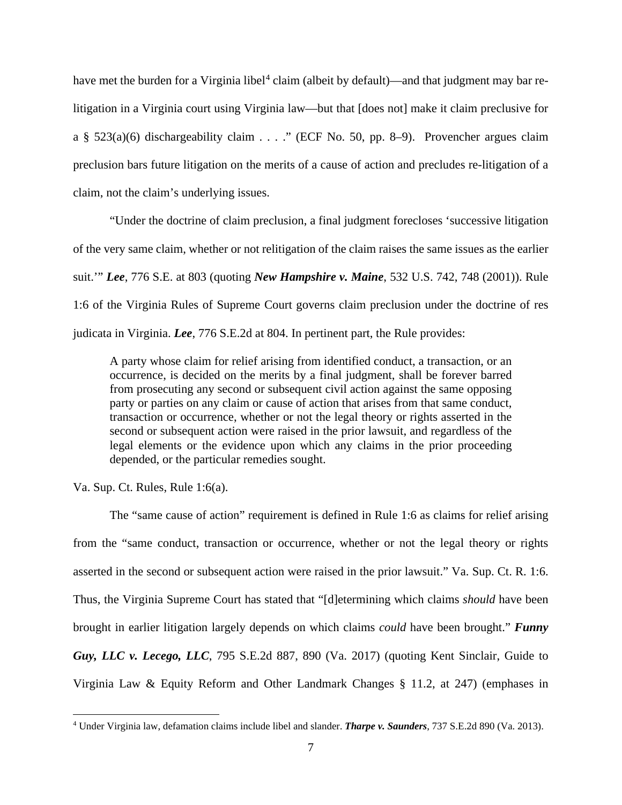have met the burden for a Virginia libel<sup>[4](#page-6-0)</sup> claim (albeit by default)—and that judgment may bar relitigation in a Virginia court using Virginia law—but that [does not] make it claim preclusive for a § 523(a)(6) dischargeability claim . . . ." (ECF No. 50, pp. 8–9). Provencher argues claim preclusion bars future litigation on the merits of a cause of action and precludes re-litigation of a claim, not the claim's underlying issues.

"Under the doctrine of claim preclusion, a final judgment forecloses 'successive litigation of the very same claim, whether or not relitigation of the claim raises the same issues as the earlier suit.'" *Lee*, 776 S.E. at 803 (quoting *New Hampshire v. Maine*, 532 U.S. 742, 748 (2001)). Rule 1:6 of the Virginia Rules of Supreme Court governs claim preclusion under the doctrine of res judicata in Virginia. *Lee*, 776 S.E.2d at 804. In pertinent part, the Rule provides:

A party whose claim for relief arising from identified conduct, a transaction, or an occurrence, is decided on the merits by a final judgment, shall be forever barred from prosecuting any second or subsequent civil action against the same opposing party or parties on any claim or cause of action that arises from that same conduct, transaction or occurrence, whether or not the legal theory or rights asserted in the second or subsequent action were raised in the prior lawsuit, and regardless of the legal elements or the evidence upon which any claims in the prior proceeding depended, or the particular remedies sought.

Va. Sup. Ct. Rules, Rule 1:6(a).

The "same cause of action" requirement is defined in Rule 1:6 as claims for relief arising from the "same conduct, transaction or occurrence, whether or not the legal theory or rights asserted in the second or subsequent action were raised in the prior lawsuit." Va. Sup. Ct. R. 1:6. Thus, the Virginia Supreme Court has stated that "[d]etermining which claims *should* have been brought in earlier litigation largely depends on which claims *could* have been brought." *Funny Guy, LLC v. Lecego, LLC*, 795 S.E.2d 887, 890 (Va. 2017) (quoting Kent Sinclair, Guide to Virginia Law & Equity Reform and Other Landmark Changes § 11.2, at 247) (emphases in

<span id="page-6-0"></span><sup>4</sup> Under Virginia law, defamation claims include libel and slander. *Tharpe v. Saunders*, 737 S.E.2d 890 (Va. 2013).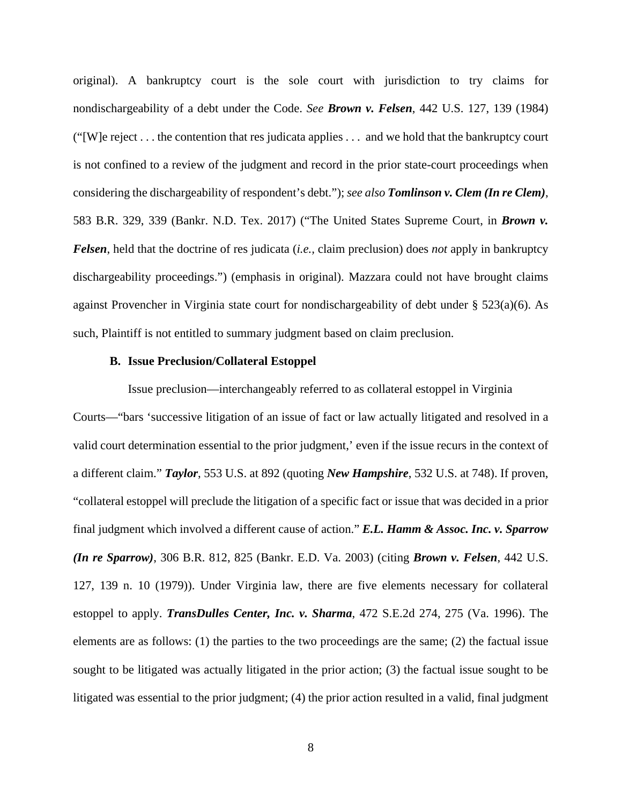original). A bankruptcy court is the sole court with jurisdiction to try claims for nondischargeability of a debt under the Code. *See Brown v. Felsen*, 442 U.S. 127, 139 (1984) ("[W]e reject . . . the contention that res judicata applies . . . and we hold that the bankruptcy court is not confined to a review of the judgment and record in the prior state-court proceedings when considering the dischargeability of respondent's debt."); *see also Tomlinson v. Clem (In re Clem)*, 583 B.R. 329, 339 (Bankr. N.D. Tex. 2017) ("The United States Supreme Court, in *Brown v. Felsen*, held that the doctrine of res judicata (*i.e.,* claim preclusion) does *not* apply in bankruptcy dischargeability proceedings.") (emphasis in original). Mazzara could not have brought claims against Provencher in Virginia state court for nondischargeability of debt under § 523(a)(6). As such, Plaintiff is not entitled to summary judgment based on claim preclusion.

## **B. Issue Preclusion/Collateral Estoppel**

Issue preclusion—interchangeably referred to as collateral estoppel in Virginia Courts—"bars 'successive litigation of an issue of fact or law actually litigated and resolved in a valid court determination essential to the prior judgment,' even if the issue recurs in the context of a different claim." *Taylor*, 553 U.S. at 892 (quoting *New Hampshire*, 532 U.S. at 748). If proven, "collateral estoppel will preclude the litigation of a specific fact or issue that was decided in a prior final judgment which involved a different cause of action." *E.L. Hamm & Assoc. Inc. v. Sparrow (In re Sparrow)*, 306 B.R. 812, 825 (Bankr. E.D. Va. 2003) (citing *Brown v. Felsen*, 442 U.S. 127, 139 n. 10 (1979)). Under Virginia law, there are five elements necessary for collateral estoppel to apply. *TransDulles Center, Inc. v. Sharma*, 472 S.E.2d 274, 275 (Va. 1996). The elements are as follows: (1) the parties to the two proceedings are the same; (2) the factual issue sought to be litigated was actually litigated in the prior action; (3) the factual issue sought to be litigated was essential to the prior judgment; (4) the prior action resulted in a valid, final judgment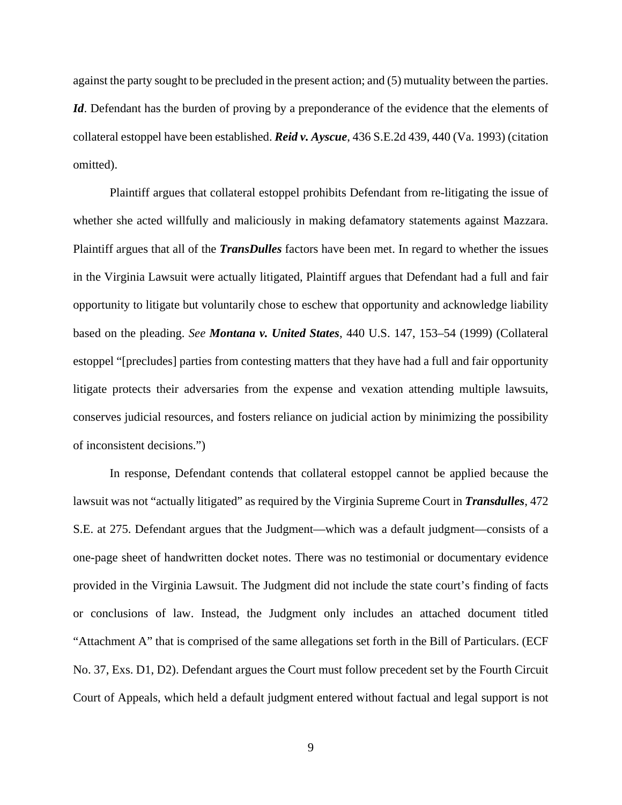against the party sought to be precluded in the present action; and (5) mutuality between the parties. *Id*. Defendant has the burden of proving by a preponderance of the evidence that the elements of collateral estoppel have been established. *Reid v. Ayscue*, 436 S.E.2d 439, 440 (Va. 1993) (citation omitted).

Plaintiff argues that collateral estoppel prohibits Defendant from re-litigating the issue of whether she acted willfully and maliciously in making defamatory statements against Mazzara. Plaintiff argues that all of the *TransDulles* factors have been met. In regard to whether the issues in the Virginia Lawsuit were actually litigated, Plaintiff argues that Defendant had a full and fair opportunity to litigate but voluntarily chose to eschew that opportunity and acknowledge liability based on the pleading. *See Montana v. United States*, 440 U.S. 147, 153–54 (1999) (Collateral estoppel "[precludes] parties from contesting matters that they have had a full and fair opportunity litigate protects their adversaries from the expense and vexation attending multiple lawsuits, conserves judicial resources, and fosters reliance on judicial action by minimizing the possibility of inconsistent decisions.")

In response, Defendant contends that collateral estoppel cannot be applied because the lawsuit was not "actually litigated" as required by the Virginia Supreme Court in *Transdulles*, 472 S.E. at 275. Defendant argues that the Judgment—which was a default judgment—consists of a one-page sheet of handwritten docket notes. There was no testimonial or documentary evidence provided in the Virginia Lawsuit. The Judgment did not include the state court's finding of facts or conclusions of law. Instead, the Judgment only includes an attached document titled "Attachment A" that is comprised of the same allegations set forth in the Bill of Particulars. (ECF No. 37, Exs. D1, D2). Defendant argues the Court must follow precedent set by the Fourth Circuit Court of Appeals, which held a default judgment entered without factual and legal support is not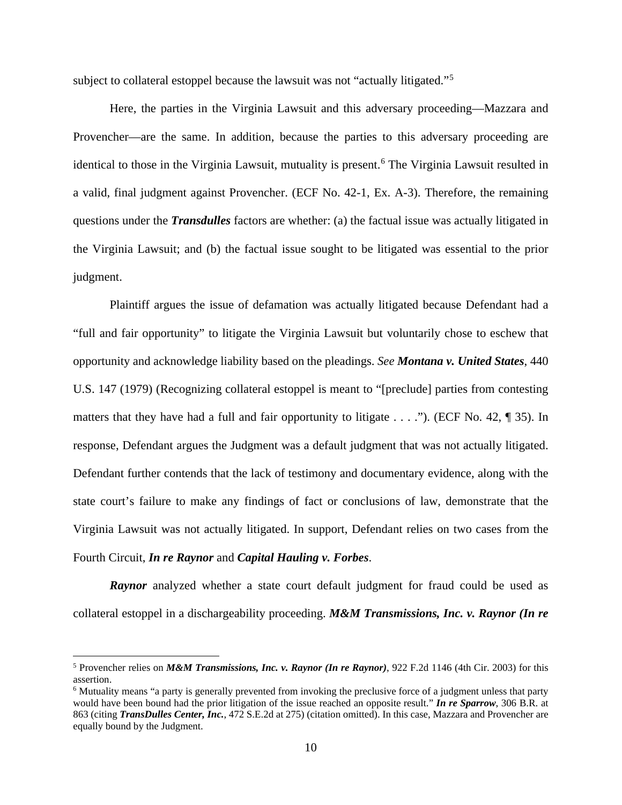subject to collateral estoppel because the lawsuit was not "actually litigated."[5](#page-9-0)

Here, the parties in the Virginia Lawsuit and this adversary proceeding—Mazzara and Provencher—are the same. In addition, because the parties to this adversary proceeding are identical to those in the Virginia Lawsuit, mutuality is present.<sup>[6](#page-9-1)</sup> The Virginia Lawsuit resulted in a valid, final judgment against Provencher. (ECF No. 42-1, Ex. A-3). Therefore, the remaining questions under the *Transdulles* factors are whether: (a) the factual issue was actually litigated in the Virginia Lawsuit; and (b) the factual issue sought to be litigated was essential to the prior judgment.

Plaintiff argues the issue of defamation was actually litigated because Defendant had a "full and fair opportunity" to litigate the Virginia Lawsuit but voluntarily chose to eschew that opportunity and acknowledge liability based on the pleadings. *See Montana v. United States*, 440 U.S. 147 (1979) (Recognizing collateral estoppel is meant to "[preclude] parties from contesting matters that they have had a full and fair opportunity to litigate  $\dots$  ."). (ECF No. 42,  $\P$  35). In response, Defendant argues the Judgment was a default judgment that was not actually litigated. Defendant further contends that the lack of testimony and documentary evidence, along with the state court's failure to make any findings of fact or conclusions of law, demonstrate that the Virginia Lawsuit was not actually litigated. In support, Defendant relies on two cases from the Fourth Circuit, *In re Raynor* and *Capital Hauling v. Forbes*.

**Raynor** analyzed whether a state court default judgment for fraud could be used as collateral estoppel in a dischargeability proceeding. *M&M Transmissions, Inc. v. Raynor (In re* 

<span id="page-9-0"></span><sup>5</sup> Provencher relies on *M&M Transmissions, Inc. v. Raynor (In re Raynor)*, 922 F.2d 1146 (4th Cir. 2003) for this assertion.

<span id="page-9-1"></span><sup>6</sup> Mutuality means "a party is generally prevented from invoking the preclusive force of a judgment unless that party would have been bound had the prior litigation of the issue reached an opposite result." *In re Sparrow*, 306 B.R. at 863 (citing *TransDulles Center, Inc.*, 472 S.E.2d at 275) (citation omitted). In this case, Mazzara and Provencher are equally bound by the Judgment.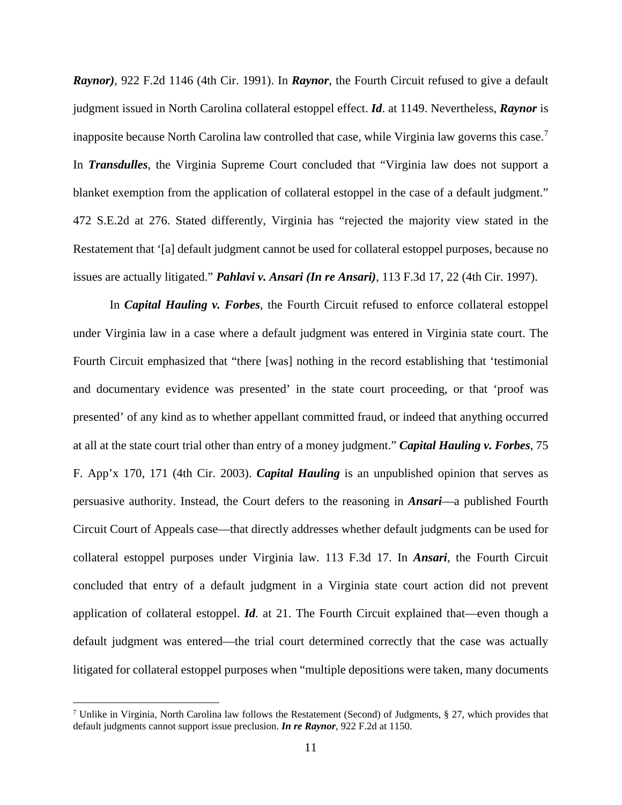*Raynor)*, 922 F.2d 1146 (4th Cir. 1991). In *Raynor*, the Fourth Circuit refused to give a default judgment issued in North Carolina collateral estoppel effect. *Id*. at 1149. Nevertheless, *Raynor* is inapposite because North Carolina law controlled that case, while Virginia law governs this case.<sup>[7](#page-10-0)</sup> In *Transdulles*, the Virginia Supreme Court concluded that "Virginia law does not support a blanket exemption from the application of collateral estoppel in the case of a default judgment." 472 S.E.2d at 276. Stated differently, Virginia has "rejected the majority view stated in the Restatement that '[a] default judgment cannot be used for collateral estoppel purposes, because no issues are actually litigated." *Pahlavi v. Ansari (In re Ansari)*, 113 F.3d 17, 22 (4th Cir. 1997).

In *Capital Hauling v. Forbes*, the Fourth Circuit refused to enforce collateral estoppel under Virginia law in a case where a default judgment was entered in Virginia state court. The Fourth Circuit emphasized that "there [was] nothing in the record establishing that 'testimonial and documentary evidence was presented' in the state court proceeding, or that 'proof was presented' of any kind as to whether appellant committed fraud, or indeed that anything occurred at all at the state court trial other than entry of a money judgment." *Capital Hauling v. Forbes*, 75 F. App'x 170, 171 (4th Cir. 2003). *Capital Hauling* is an unpublished opinion that serves as persuasive authority. Instead, the Court defers to the reasoning in *Ansari*—a published Fourth Circuit Court of Appeals case—that directly addresses whether default judgments can be used for collateral estoppel purposes under Virginia law. 113 F.3d 17. In *Ansari*, the Fourth Circuit concluded that entry of a default judgment in a Virginia state court action did not prevent application of collateral estoppel. *Id*. at 21. The Fourth Circuit explained that—even though a default judgment was entered—the trial court determined correctly that the case was actually litigated for collateral estoppel purposes when "multiple depositions were taken, many documents

<span id="page-10-0"></span><sup>&</sup>lt;sup>7</sup> Unlike in Virginia, North Carolina law follows the Restatement (Second) of Judgments, § 27, which provides that default judgments cannot support issue preclusion. *In re Raynor*, 922 F.2d at 1150.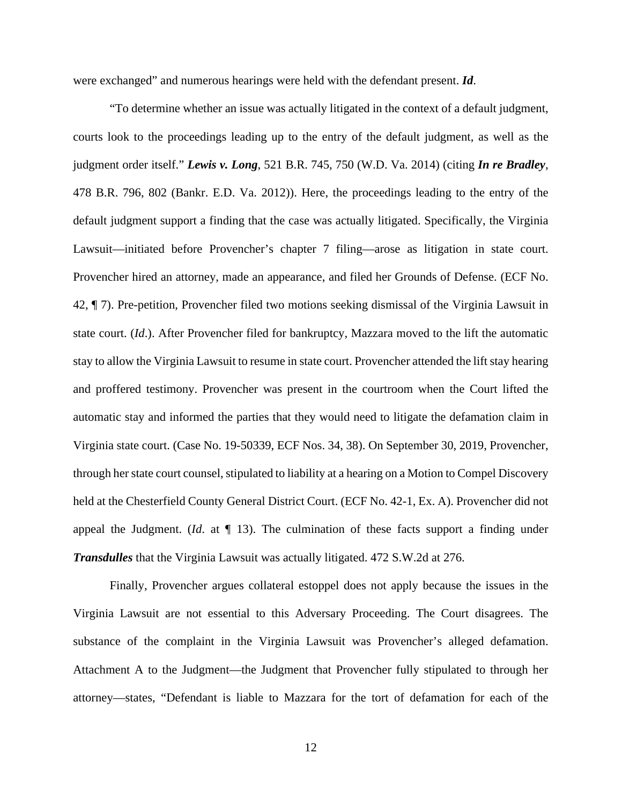were exchanged" and numerous hearings were held with the defendant present. *Id*.

"To determine whether an issue was actually litigated in the context of a default judgment, courts look to the proceedings leading up to the entry of the default judgment, as well as the judgment order itself." *Lewis v. Long*, 521 B.R. 745, 750 (W.D. Va. 2014) (citing *In re Bradley*, 478 B.R. 796, 802 (Bankr. E.D. Va. 2012)). Here, the proceedings leading to the entry of the default judgment support a finding that the case was actually litigated. Specifically, the Virginia Lawsuit—initiated before Provencher's chapter 7 filing—arose as litigation in state court. Provencher hired an attorney, made an appearance, and filed her Grounds of Defense. (ECF No. 42, ¶ 7). Pre-petition, Provencher filed two motions seeking dismissal of the Virginia Lawsuit in state court. (*Id*.). After Provencher filed for bankruptcy, Mazzara moved to the lift the automatic stay to allow the Virginia Lawsuit to resume in state court. Provencher attended the lift stay hearing and proffered testimony. Provencher was present in the courtroom when the Court lifted the automatic stay and informed the parties that they would need to litigate the defamation claim in Virginia state court. (Case No. 19-50339, ECF Nos. 34, 38). On September 30, 2019, Provencher, through her state court counsel, stipulated to liability at a hearing on a Motion to Compel Discovery held at the Chesterfield County General District Court. (ECF No. 42-1, Ex. A). Provencher did not appeal the Judgment. (*Id*. at ¶ 13). The culmination of these facts support a finding under *Transdulles* that the Virginia Lawsuit was actually litigated. 472 S.W.2d at 276.

Finally, Provencher argues collateral estoppel does not apply because the issues in the Virginia Lawsuit are not essential to this Adversary Proceeding. The Court disagrees. The substance of the complaint in the Virginia Lawsuit was Provencher's alleged defamation. Attachment A to the Judgment—the Judgment that Provencher fully stipulated to through her attorney—states, "Defendant is liable to Mazzara for the tort of defamation for each of the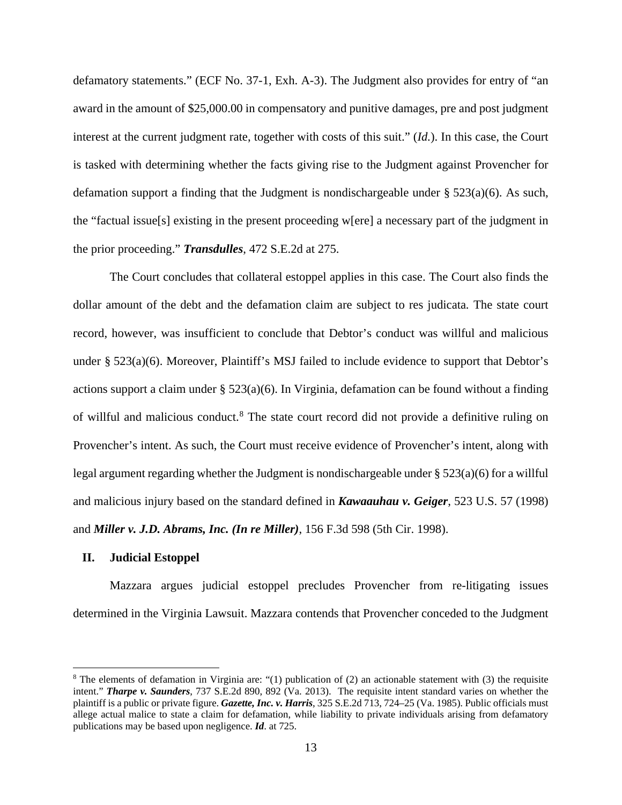defamatory statements." (ECF No. 37-1, Exh. A-3). The Judgment also provides for entry of "an award in the amount of \$25,000.00 in compensatory and punitive damages, pre and post judgment interest at the current judgment rate, together with costs of this suit." (*Id.*). In this case, the Court is tasked with determining whether the facts giving rise to the Judgment against Provencher for defamation support a finding that the Judgment is nondischargeable under  $\S 523(a)(6)$ . As such, the "factual issue[s] existing in the present proceeding w[ere] a necessary part of the judgment in the prior proceeding." *Transdulles*, 472 S.E.2d at 275.

The Court concludes that collateral estoppel applies in this case. The Court also finds the dollar amount of the debt and the defamation claim are subject to res judicata*.* The state court record, however, was insufficient to conclude that Debtor's conduct was willful and malicious under § 523(a)(6). Moreover, Plaintiff's MSJ failed to include evidence to support that Debtor's actions support a claim under  $\S 523(a)(6)$ . In Virginia, defamation can be found without a finding of willful and malicious conduct.[8](#page-12-0) The state court record did not provide a definitive ruling on Provencher's intent. As such, the Court must receive evidence of Provencher's intent, along with legal argument regarding whether the Judgment is nondischargeable under § 523(a)(6) for a willful and malicious injury based on the standard defined in *Kawaauhau v. Geiger*, 523 U.S. 57 (1998) and *Miller v. J.D. Abrams, Inc. (In re Miller)*, 156 F.3d 598 (5th Cir. 1998).

### **II. Judicial Estoppel**

Mazzara argues judicial estoppel precludes Provencher from re-litigating issues determined in the Virginia Lawsuit. Mazzara contends that Provencher conceded to the Judgment

<span id="page-12-0"></span><sup>&</sup>lt;sup>8</sup> The elements of defamation in Virginia are: "(1) publication of (2) an actionable statement with (3) the requisite intent." *Tharpe v. Saunders*, 737 S.E.2d 890, 892 (Va. 2013). The requisite intent standard varies on whether the plaintiff is a public or private figure. *Gazette, Inc. v. Harris*, 325 S.E.2d 713, 724–25 (Va. 1985). Public officials must allege actual malice to state a claim for defamation, while liability to private individuals arising from defamatory publications may be based upon negligence. *Id*. at 725.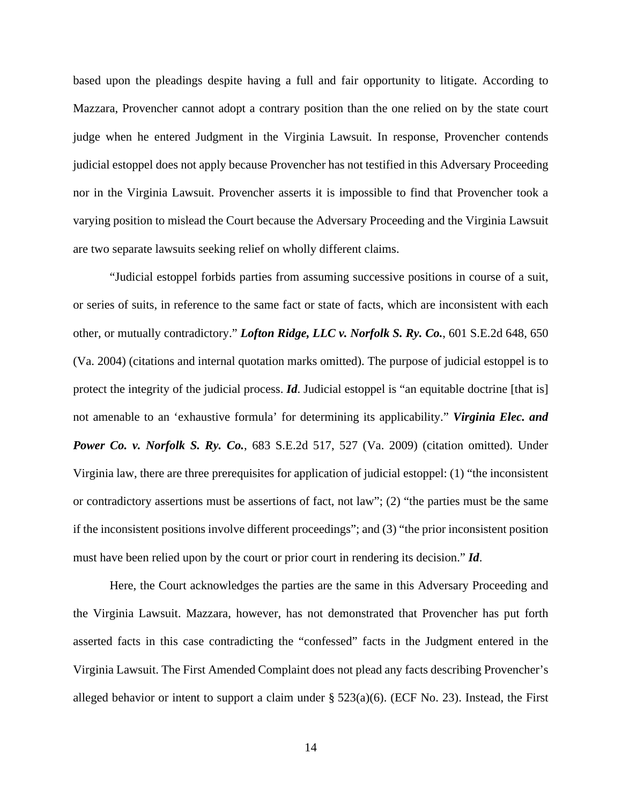based upon the pleadings despite having a full and fair opportunity to litigate. According to Mazzara, Provencher cannot adopt a contrary position than the one relied on by the state court judge when he entered Judgment in the Virginia Lawsuit. In response, Provencher contends judicial estoppel does not apply because Provencher has not testified in this Adversary Proceeding nor in the Virginia Lawsuit. Provencher asserts it is impossible to find that Provencher took a varying position to mislead the Court because the Adversary Proceeding and the Virginia Lawsuit are two separate lawsuits seeking relief on wholly different claims.

"Judicial estoppel forbids parties from assuming successive positions in course of a suit, or series of suits, in reference to the same fact or state of facts, which are inconsistent with each other, or mutually contradictory." *Lofton Ridge, LLC v. Norfolk S. Ry. Co.*, 601 S.E.2d 648, 650 (Va. 2004) (citations and internal quotation marks omitted). The purpose of judicial estoppel is to protect the integrity of the judicial process. *Id*. Judicial estoppel is "an equitable doctrine [that is] not amenable to an 'exhaustive formula' for determining its applicability." *Virginia Elec. and Power Co. v. Norfolk S. Ry. Co.*, 683 S.E.2d 517, 527 (Va. 2009) (citation omitted). Under Virginia law, there are three prerequisites for application of judicial estoppel: (1) "the inconsistent or contradictory assertions must be assertions of fact, not law"; (2) "the parties must be the same if the inconsistent positions involve different proceedings"; and (3) "the prior inconsistent position must have been relied upon by the court or prior court in rendering its decision." *Id*.

Here, the Court acknowledges the parties are the same in this Adversary Proceeding and the Virginia Lawsuit. Mazzara, however, has not demonstrated that Provencher has put forth asserted facts in this case contradicting the "confessed" facts in the Judgment entered in the Virginia Lawsuit. The First Amended Complaint does not plead any facts describing Provencher's alleged behavior or intent to support a claim under  $\S 523(a)(6)$ . (ECF No. 23). Instead, the First